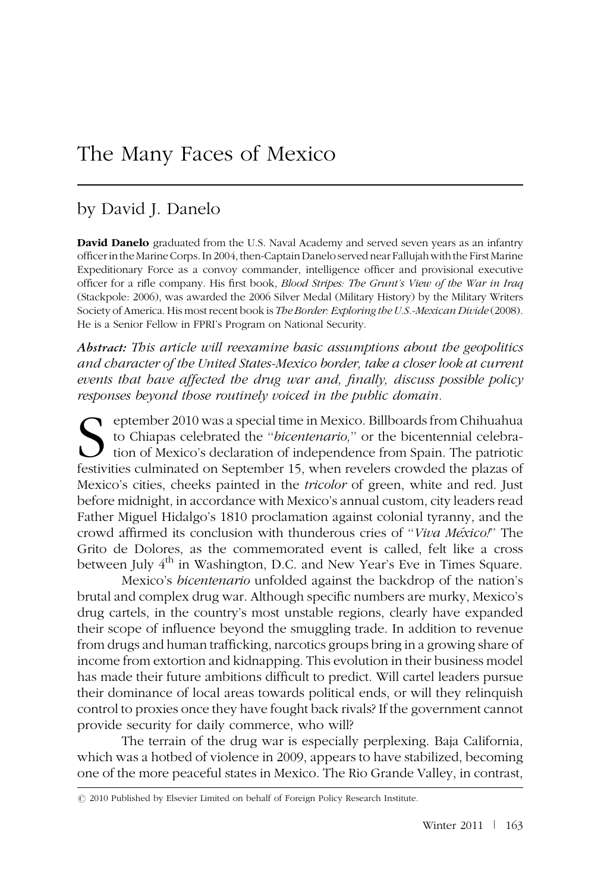# by David J. Danelo

David Danelo graduated from the U.S. Naval Academy and served seven years as an infantry officer inthe Marine Corps. In 2004, then-Captain Danelo served near Fallujah with the First Marine Expeditionary Force as a convoy commander, intelligence officer and provisional executive officer for a rifle company. His first book, Blood Stripes: The Grunt's View of the War in Iraq (Stackpole: 2006), was awarded the 2006 Silver Medal (Military History) by the Military Writers Society of America. His most recent book is The Border: Exploring the U.S.-Mexican Divide (2008). He is a Senior Fellow in FPRI's Program on National Security.

Abstract: This article will reexamine basic assumptions about the geopolitics and character of the United States-Mexico border, take a closer look at current events that have affected the drug war and, finally, discuss possible policy responses beyond those routinely voiced in the public domain.

S eptember 2010 was a special time in Mexico. Billboards from Chihuahua<br>to Chiapas celebrated the *"bicentenario*," or the bicentennial celebra-<br>tion of Mexico's declaration of independence from Spain. The patriotic<br>festiv to Chiapas celebrated the "bicentenario," or the bicentennial celebration of Mexico's declaration of independence from Spain. The patriotic festivities culminated on September 15, when revelers crowded the plazas of Mexico's cities, cheeks painted in the tricolor of green, white and red. Just before midnight, in accordance with Mexico's annual custom, city leaders read Father Miguel Hidalgo's 1810 proclamation against colonial tyranny, and the crowd affirmed its conclusion with thunderous cries of "Viva México!" The Grito de Dolores, as the commemorated event is called, felt like a cross between July 4<sup>th</sup> in Washington, D.C. and New Year's Eve in Times Square.

Mexico's bicentenario unfolded against the backdrop of the nation's brutal and complex drug war. Although specific numbers are murky, Mexico's drug cartels, in the country's most unstable regions, clearly have expanded their scope of influence beyond the smuggling trade. In addition to revenue from drugs and human trafficking, narcotics groups bring in a growing share of income from extortion and kidnapping. This evolution in their business model has made their future ambitions difficult to predict. Will cartel leaders pursue their dominance of local areas towards political ends, or will they relinquish control to proxies once they have fought back rivals? If the government cannot provide security for daily commerce, who will?

The terrain of the drug war is especially perplexing. Baja California, which was a hotbed of violence in 2009, appears to have stabilized, becoming one of the more peaceful states in Mexico. The Rio Grande Valley, in contrast,

 $\circled{c}$  2010 Published by Elsevier Limited on behalf of Foreign Policy Research Institute.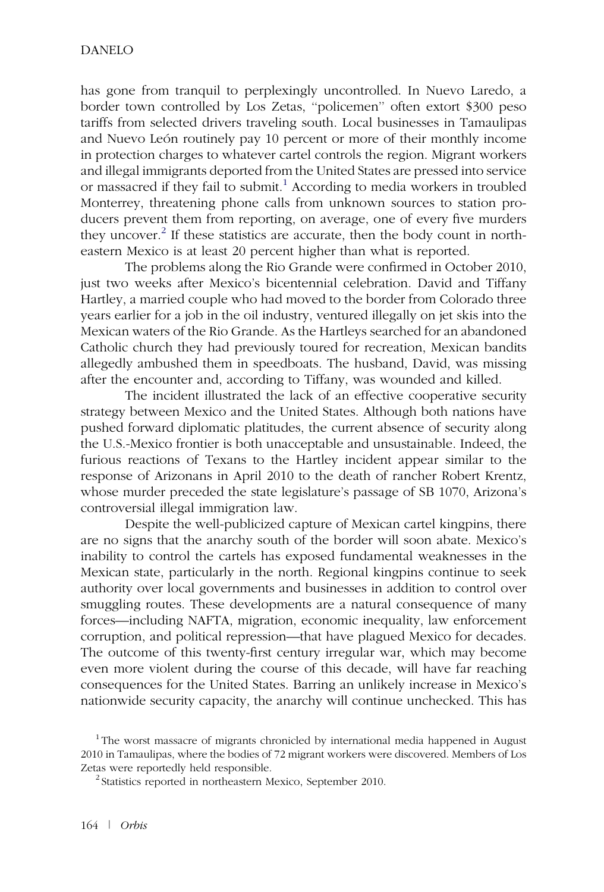## DANELO

has gone from tranquil to perplexingly uncontrolled. In Nuevo Laredo, a border town controlled by Los Zetas, ''policemen'' often extort \$300 peso tariffs from selected drivers traveling south. Local businesses in Tamaulipas and Nuevo León routinely pay 10 percent or more of their monthly income in protection charges to whatever cartel controls the region. Migrant workers and illegal immigrants deported from the United States are pressed into service or massacred if they fail to submit.<sup>1</sup> According to media workers in troubled Monterrey, threatening phone calls from unknown sources to station producers prevent them from reporting, on average, one of every five murders they uncover.<sup>2</sup> If these statistics are accurate, then the body count in northeastern Mexico is at least 20 percent higher than what is reported.

The problems along the Rio Grande were confirmed in October 2010, just two weeks after Mexico's bicentennial celebration. David and Tiffany Hartley, a married couple who had moved to the border from Colorado three years earlier for a job in the oil industry, ventured illegally on jet skis into the Mexican waters of the Rio Grande. As the Hartleys searched for an abandoned Catholic church they had previously toured for recreation, Mexican bandits allegedly ambushed them in speedboats. The husband, David, was missing after the encounter and, according to Tiffany, was wounded and killed.

The incident illustrated the lack of an effective cooperative security strategy between Mexico and the United States. Although both nations have pushed forward diplomatic platitudes, the current absence of security along the U.S.-Mexico frontier is both unacceptable and unsustainable. Indeed, the furious reactions of Texans to the Hartley incident appear similar to the response of Arizonans in April 2010 to the death of rancher Robert Krentz, whose murder preceded the state legislature's passage of SB 1070, Arizona's controversial illegal immigration law.

Despite the well-publicized capture of Mexican cartel kingpins, there are no signs that the anarchy south of the border will soon abate. Mexico's inability to control the cartels has exposed fundamental weaknesses in the Mexican state, particularly in the north. Regional kingpins continue to seek authority over local governments and businesses in addition to control over smuggling routes. These developments are a natural consequence of many forces—including NAFTA, migration, economic inequality, law enforcement corruption, and political repression—that have plagued Mexico for decades. The outcome of this twenty-first century irregular war, which may become even more violent during the course of this decade, will have far reaching consequences for the United States. Barring an unlikely increase in Mexico's nationwide security capacity, the anarchy will continue unchecked. This has

<sup>&</sup>lt;sup>1</sup>The worst massacre of migrants chronicled by international media happened in August 2010 in Tamaulipas, where the bodies of 72 migrant workers were discovered. Members of Los

 $2$ Statistics reported in northeastern Mexico, September 2010.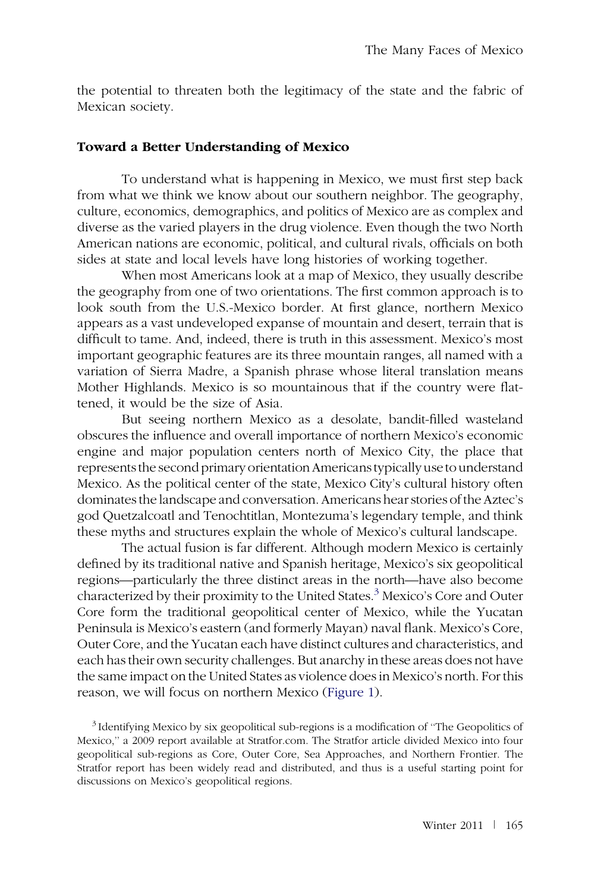the potential to threaten both the legitimacy of the state and the fabric of Mexican society.

#### Toward a Better Understanding of Mexico

To understand what is happening in Mexico, we must first step back from what we think we know about our southern neighbor. The geography, culture, economics, demographics, and politics of Mexico are as complex and diverse as the varied players in the drug violence. Even though the two North American nations are economic, political, and cultural rivals, officials on both sides at state and local levels have long histories of working together.

When most Americans look at a map of Mexico, they usually describe the geography from one of two orientations. The first common approach is to look south from the U.S.-Mexico border. At first glance, northern Mexico appears as a vast undeveloped expanse of mountain and desert, terrain that is difficult to tame. And, indeed, there is truth in this assessment. Mexico's most important geographic features are its three mountain ranges, all named with a variation of Sierra Madre, a Spanish phrase whose literal translation means Mother Highlands. Mexico is so mountainous that if the country were flattened, it would be the size of Asia.

But seeing northern Mexico as a desolate, bandit-filled wasteland obscures the influence and overall importance of northern Mexico's economic engine and major population centers north of Mexico City, the place that represents the second primary orientation Americans typically use to understand Mexico. As the political center of the state, Mexico City's cultural history often dominates the landscape and conversation. Americans hear stories of the Aztec's god Quetzalcoatl and Tenochtitlan, Montezuma's legendary temple, and think these myths and structures explain the whole of Mexico's cultural landscape.

The actual fusion is far different. Although modern Mexico is certainly defined by its traditional native and Spanish heritage, Mexico's six geopolitical regions—particularly the three distinct areas in the north—have also become characterized by their proximity to the United States.<sup>3</sup> Mexico's Core and Outer Core form the traditional geopolitical center of Mexico, while the Yucatan Peninsula is Mexico's eastern (and formerly Mayan) naval flank. Mexico's Core, Outer Core, and the Yucatan each have distinct cultures and characteristics, and each has their own security challenges. But anarchy in these areas does not have the same impact on the United States as violence does in Mexico's north. For this reason, we will focus on northern Mexico [\(Figure 1](#page-3-0)).

<sup>3</sup> Identifying Mexico by six geopolitical sub-regions is a modification of ''The Geopolitics of Mexico,'' a 2009 report available at Stratfor.com. The Stratfor article divided Mexico into four geopolitical sub-regions as Core, Outer Core, Sea Approaches, and Northern Frontier. The Stratfor report has been widely read and distributed, and thus is a useful starting point for discussions on Mexico's geopolitical regions.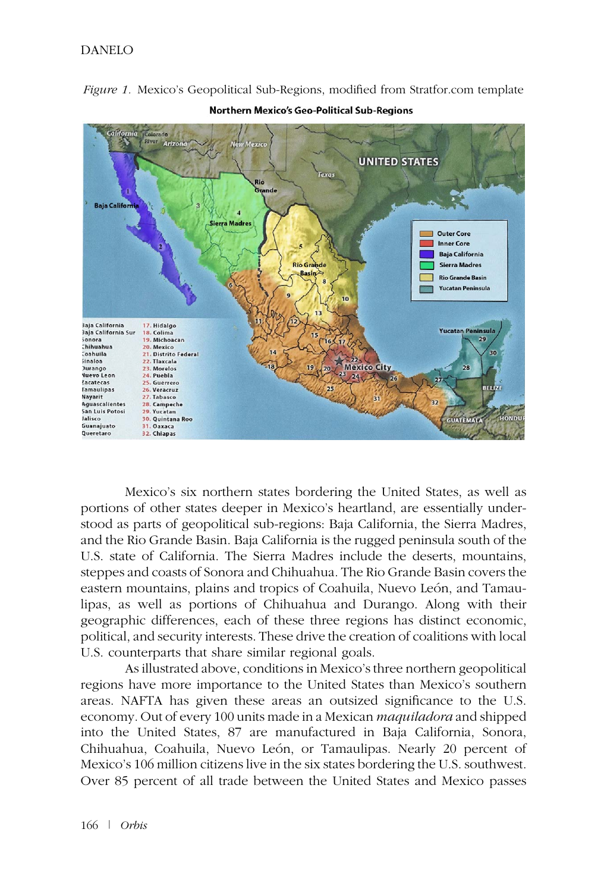# <span id="page-3-0"></span>DANELO



Figure 1. Mexico's Geopolitical Sub-Regions, modified from Stratfor.com template **Northern Mexico's Geo-Political Sub-Regions** 

Mexico's six northern states bordering the United States, as well as portions of other states deeper in Mexico's heartland, are essentially understood as parts of geopolitical sub-regions: Baja California, the Sierra Madres, and the Rio Grande Basin. Baja California is the rugged peninsula south of the U.S. state of California. The Sierra Madres include the deserts, mountains, steppes and coasts of Sonora and Chihuahua. The Rio Grande Basin covers the eastern mountains, plains and tropics of Coahuila, Nuevo León, and Tamaulipas, as well as portions of Chihuahua and Durango. Along with their geographic differences, each of these three regions has distinct economic, political, and security interests. These drive the creation of coalitions with local U.S. counterparts that share similar regional goals.

As illustrated above, conditions in Mexico's three northern geopolitical regions have more importance to the United States than Mexico's southern areas. NAFTA has given these areas an outsized significance to the U.S. economy. Out of every 100 units made in a Mexican *maquiladora* and shipped into the United States, 87 are manufactured in Baja California, Sonora, Chihuahua, Coahuila, Nuevo León, or Tamaulipas. Nearly 20 percent of Mexico's 106 million citizens live in the six states bordering the U.S. southwest. Over 85 percent of all trade between the United States and Mexico passes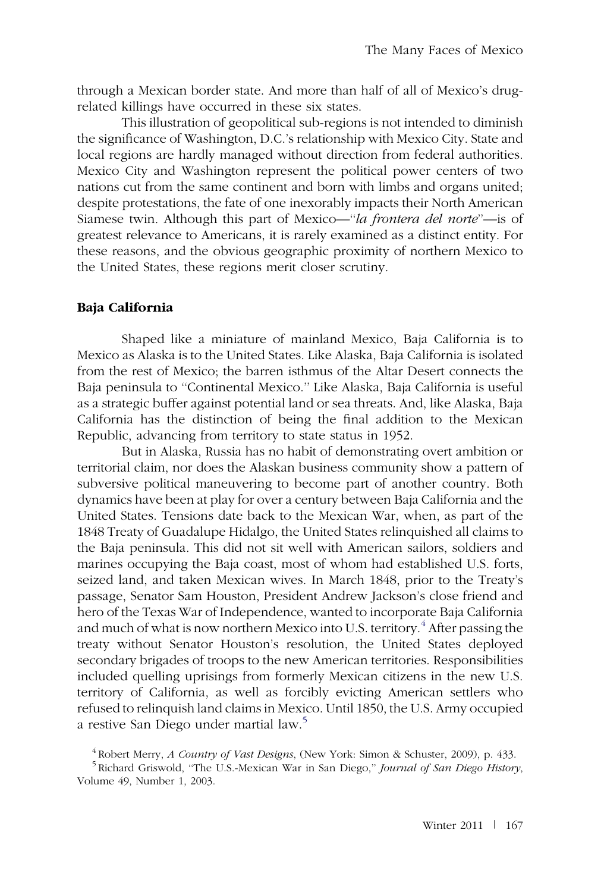through a Mexican border state. And more than half of all of Mexico's drugrelated killings have occurred in these six states.

This illustration of geopolitical sub-regions is not intended to diminish the significance of Washington, D.C.'s relationship with Mexico City. State and local regions are hardly managed without direction from federal authorities. Mexico City and Washington represent the political power centers of two nations cut from the same continent and born with limbs and organs united; despite protestations, the fate of one inexorably impacts their North American Siamese twin. Although this part of Mexico—''la frontera del norte''—is of greatest relevance to Americans, it is rarely examined as a distinct entity. For these reasons, and the obvious geographic proximity of northern Mexico to the United States, these regions merit closer scrutiny.

#### Baja California

Shaped like a miniature of mainland Mexico, Baja California is to Mexico as Alaska is to the United States. Like Alaska, Baja California is isolated from the rest of Mexico; the barren isthmus of the Altar Desert connects the Baja peninsula to ''Continental Mexico.'' Like Alaska, Baja California is useful as a strategic buffer against potential land or sea threats. And, like Alaska, Baja California has the distinction of being the final addition to the Mexican Republic, advancing from territory to state status in 1952.

But in Alaska, Russia has no habit of demonstrating overt ambition or territorial claim, nor does the Alaskan business community show a pattern of subversive political maneuvering to become part of another country. Both dynamics have been at play for over a century between Baja California and the United States. Tensions date back to the Mexican War, when, as part of the 1848 Treaty of Guadalupe Hidalgo, the United States relinquished all claims to the Baja peninsula. This did not sit well with American sailors, soldiers and marines occupying the Baja coast, most of whom had established U.S. forts, seized land, and taken Mexican wives. In March 1848, prior to the Treaty's passage, Senator Sam Houston, President Andrew Jackson's close friend and hero of the Texas War of Independence, wanted to incorporate Baja California and much of what is now northern Mexico into U.S. territory.<sup>4</sup> After passing the treaty without Senator Houston's resolution, the United States deployed secondary brigades of troops to the new American territories. Responsibilities included quelling uprisings from formerly Mexican citizens in the new U.S. territory of California, as well as forcibly evicting American settlers who refused to relinquish land claims in Mexico. Until 1850, the U.S. Army occupied a restive San Diego under martial law.5

<sup>&</sup>lt;sup>4</sup> Robert Merry, *A Country of Vast Designs*, (New York: Simon & Schuster, 2009), p. 433.<br><sup>5</sup> Richard Griswold, "The U.S.-Mexican War in San Diego," *Journal of San Diego History*,

Volume 49, Number 1, 2003.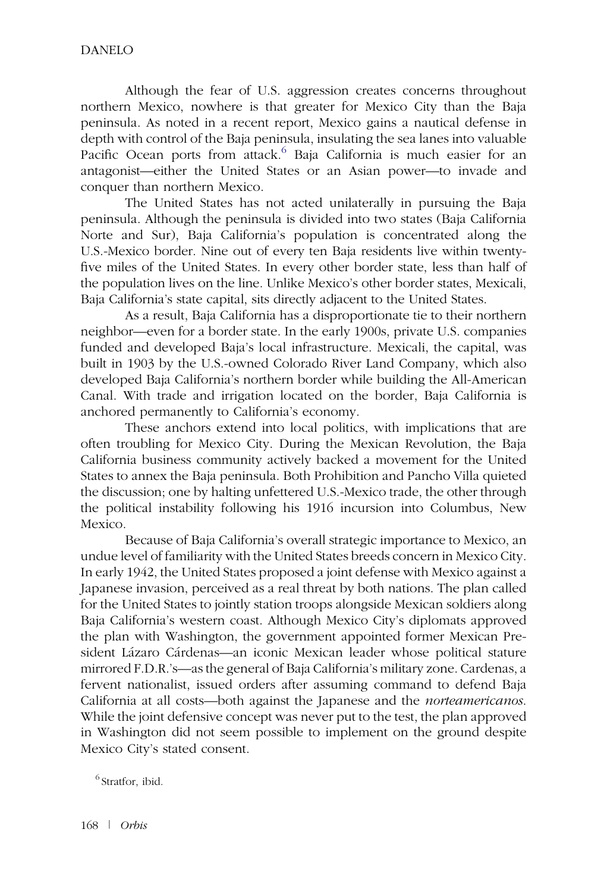Although the fear of U.S. aggression creates concerns throughout northern Mexico, nowhere is that greater for Mexico City than the Baja peninsula. As noted in a recent report, Mexico gains a nautical defense in depth with control of the Baja peninsula, insulating the sea lanes into valuable Pacific Ocean ports from attack.<sup>6</sup> Baja California is much easier for an antagonist—either the United States or an Asian power—to invade and conquer than northern Mexico.

The United States has not acted unilaterally in pursuing the Baja peninsula. Although the peninsula is divided into two states (Baja California Norte and Sur), Baja California's population is concentrated along the U.S.-Mexico border. Nine out of every ten Baja residents live within twentyfive miles of the United States. In every other border state, less than half of the population lives on the line. Unlike Mexico's other border states, Mexicali, Baja California's state capital, sits directly adjacent to the United States.

As a result, Baja California has a disproportionate tie to their northern neighbor—even for a border state. In the early 1900s, private U.S. companies funded and developed Baja's local infrastructure. Mexicali, the capital, was built in 1903 by the U.S.-owned Colorado River Land Company, which also developed Baja California's northern border while building the All-American Canal. With trade and irrigation located on the border, Baja California is anchored permanently to California's economy.

These anchors extend into local politics, with implications that are often troubling for Mexico City. During the Mexican Revolution, the Baja California business community actively backed a movement for the United States to annex the Baja peninsula. Both Prohibition and Pancho Villa quieted the discussion; one by halting unfettered U.S.-Mexico trade, the other through the political instability following his 1916 incursion into Columbus, New Mexico.

Because of Baja California's overall strategic importance to Mexico, an undue level of familiarity with the United States breeds concern in Mexico City. In early 1942, the United States proposed a joint defense with Mexico against a Japanese invasion, perceived as a real threat by both nations. The plan called for the United States to jointly station troops alongside Mexican soldiers along Baja California's western coast. Although Mexico City's diplomats approved the plan with Washington, the government appointed former Mexican President Lázaro Cárdenas—an iconic Mexican leader whose political stature mirrored F.D.R.'s—as the general of Baja California's military zone. Cardenas, a fervent nationalist, issued orders after assuming command to defend Baja California at all costs—both against the Japanese and the norteamericanos. While the joint defensive concept was never put to the test, the plan approved in Washington did not seem possible to implement on the ground despite Mexico City's stated consent.

<sup>6</sup> Stratfor, ibid.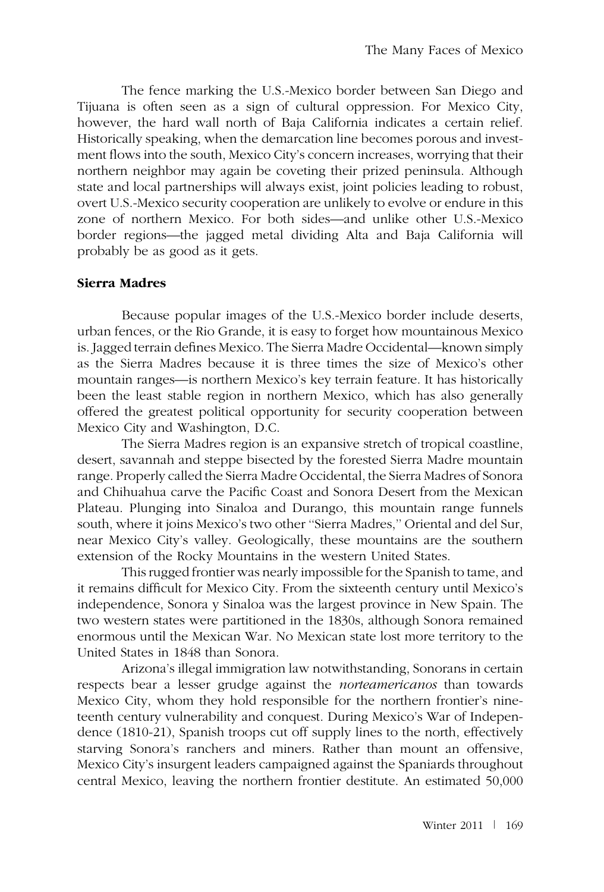The fence marking the U.S.-Mexico border between San Diego and Tijuana is often seen as a sign of cultural oppression. For Mexico City, however, the hard wall north of Baja California indicates a certain relief. Historically speaking, when the demarcation line becomes porous and investment flows into the south, Mexico City's concern increases, worrying that their northern neighbor may again be coveting their prized peninsula. Although state and local partnerships will always exist, joint policies leading to robust, overt U.S.-Mexico security cooperation are unlikely to evolve or endure in this zone of northern Mexico. For both sides—and unlike other U.S.-Mexico border regions—the jagged metal dividing Alta and Baja California will probably be as good as it gets.

#### Sierra Madres

Because popular images of the U.S.-Mexico border include deserts, urban fences, or the Rio Grande, it is easy to forget how mountainous Mexico is. Jagged terrain defines Mexico. The Sierra Madre Occidental—known simply as the Sierra Madres because it is three times the size of Mexico's other mountain ranges—is northern Mexico's key terrain feature. It has historically been the least stable region in northern Mexico, which has also generally offered the greatest political opportunity for security cooperation between Mexico City and Washington, D.C.

The Sierra Madres region is an expansive stretch of tropical coastline, desert, savannah and steppe bisected by the forested Sierra Madre mountain range. Properly called the Sierra Madre Occidental, the Sierra Madres of Sonora and Chihuahua carve the Pacific Coast and Sonora Desert from the Mexican Plateau. Plunging into Sinaloa and Durango, this mountain range funnels south, where it joins Mexico's two other ''Sierra Madres,'' Oriental and del Sur, near Mexico City's valley. Geologically, these mountains are the southern extension of the Rocky Mountains in the western United States.

This rugged frontier was nearly impossible for the Spanish to tame, and it remains difficult for Mexico City. From the sixteenth century until Mexico's independence, Sonora y Sinaloa was the largest province in New Spain. The two western states were partitioned in the 1830s, although Sonora remained enormous until the Mexican War. No Mexican state lost more territory to the United States in 1848 than Sonora.

Arizona's illegal immigration law notwithstanding, Sonorans in certain respects bear a lesser grudge against the norteamericanos than towards Mexico City, whom they hold responsible for the northern frontier's nineteenth century vulnerability and conquest. During Mexico's War of Independence (1810-21), Spanish troops cut off supply lines to the north, effectively starving Sonora's ranchers and miners. Rather than mount an offensive, Mexico City's insurgent leaders campaigned against the Spaniards throughout central Mexico, leaving the northern frontier destitute. An estimated 50,000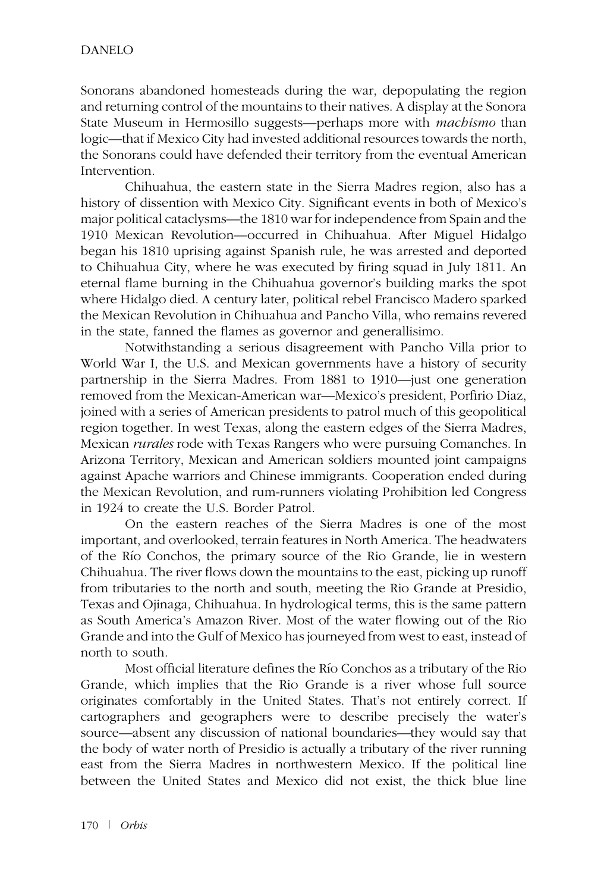Sonorans abandoned homesteads during the war, depopulating the region and returning control of the mountains to their natives. A display at the Sonora State Museum in Hermosillo suggests—perhaps more with *machismo* than logic—that if Mexico City had invested additional resources towards the north, the Sonorans could have defended their territory from the eventual American Intervention.

Chihuahua, the eastern state in the Sierra Madres region, also has a history of dissention with Mexico City. Significant events in both of Mexico's major political cataclysms—the 1810 war for independence from Spain and the 1910 Mexican Revolution—occurred in Chihuahua. After Miguel Hidalgo began his 1810 uprising against Spanish rule, he was arrested and deported to Chihuahua City, where he was executed by firing squad in July 1811. An eternal flame burning in the Chihuahua governor's building marks the spot where Hidalgo died. A century later, political rebel Francisco Madero sparked the Mexican Revolution in Chihuahua and Pancho Villa, who remains revered in the state, fanned the flames as governor and generallisimo.

Notwithstanding a serious disagreement with Pancho Villa prior to World War I, the U.S. and Mexican governments have a history of security partnership in the Sierra Madres. From 1881 to 1910—just one generation removed from the Mexican-American war—Mexico's president, Porfirio Diaz, joined with a series of American presidents to patrol much of this geopolitical region together. In west Texas, along the eastern edges of the Sierra Madres, Mexican rurales rode with Texas Rangers who were pursuing Comanches. In Arizona Territory, Mexican and American soldiers mounted joint campaigns against Apache warriors and Chinese immigrants. Cooperation ended during the Mexican Revolution, and rum-runners violating Prohibition led Congress in 1924 to create the U.S. Border Patrol.

On the eastern reaches of the Sierra Madres is one of the most important, and overlooked, terrain features in North America. The headwaters of the Rı´o Conchos, the primary source of the Rio Grande, lie in western Chihuahua. The river flows down the mountains to the east, picking up runoff from tributaries to the north and south, meeting the Rio Grande at Presidio, Texas and Ojinaga, Chihuahua. In hydrological terms, this is the same pattern as South America's Amazon River. Most of the water flowing out of the Rio Grande and into the Gulf of Mexico has journeyed from west to east, instead of north to south.

Most official literature defines the Rı´o Conchos as a tributary of the Rio Grande, which implies that the Rio Grande is a river whose full source originates comfortably in the United States. That's not entirely correct. If cartographers and geographers were to describe precisely the water's source—absent any discussion of national boundaries—they would say that the body of water north of Presidio is actually a tributary of the river running east from the Sierra Madres in northwestern Mexico. If the political line between the United States and Mexico did not exist, the thick blue line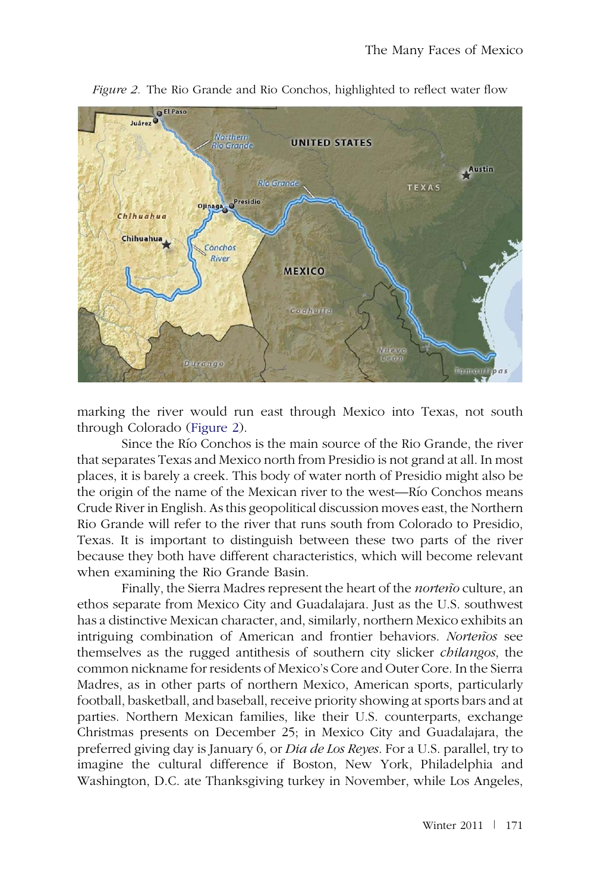

Figure 2. The Rio Grande and Rio Conchos, highlighted to reflect water flow

marking the river would run east through Mexico into Texas, not south through Colorado (Figure 2).

Since the Rı´o Conchos is the main source of the Rio Grande, the river that separates Texas and Mexico north from Presidio is not grand at all. In most places, it is barely a creek. This body of water north of Presidio might also be the origin of the name of the Mexican river to the west—Rı´o Conchos means Crude River in English. As this geopolitical discussion moves east, the Northern Rio Grande will refer to the river that runs south from Colorado to Presidio, Texas. It is important to distinguish between these two parts of the river because they both have different characteristics, which will become relevant when examining the Rio Grande Basin.

Finally, the Sierra Madres represent the heart of the *norten*<sup>o</sup> culture, an ethos separate from Mexico City and Guadalajara. Just as the U.S. southwest has a distinctive Mexican character, and, similarly, northern Mexico exhibits an intriguing combination of American and frontier behaviors. Nortenos see themselves as the rugged antithesis of southern city slicker chilangos, the common nickname for residents of Mexico's Core and Outer Core. In the Sierra Madres, as in other parts of northern Mexico, American sports, particularly football, basketball, and baseball, receive priority showing at sports bars and at parties. Northern Mexican families, like their U.S. counterparts, exchange Christmas presents on December 25; in Mexico City and Guadalajara, the preferred giving day is January 6, or Dia de Los Reyes. For a U.S. parallel, try to imagine the cultural difference if Boston, New York, Philadelphia and Washington, D.C. ate Thanksgiving turkey in November, while Los Angeles,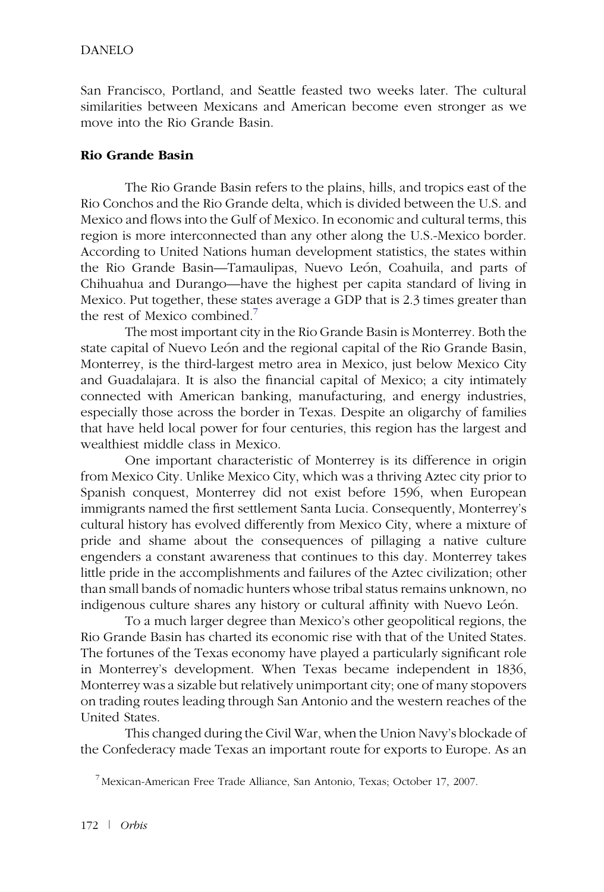San Francisco, Portland, and Seattle feasted two weeks later. The cultural similarities between Mexicans and American become even stronger as we move into the Rio Grande Basin.

# Rio Grande Basin

The Rio Grande Basin refers to the plains, hills, and tropics east of the Rio Conchos and the Rio Grande delta, which is divided between the U.S. and Mexico and flows into the Gulf of Mexico. In economic and cultural terms, this region is more interconnected than any other along the U.S.-Mexico border. According to United Nations human development statistics, the states within the Rio Grande Basin-Tamaulipas, Nuevo León, Coahuila, and parts of Chihuahua and Durango—have the highest per capita standard of living in Mexico. Put together, these states average a GDP that is 2.3 times greater than the rest of Mexico combined.<sup>7</sup>

The most important city in the Rio Grande Basin is Monterrey. Both the state capital of Nuevo León and the regional capital of the Rio Grande Basin, Monterrey, is the third-largest metro area in Mexico, just below Mexico City and Guadalajara. It is also the financial capital of Mexico; a city intimately connected with American banking, manufacturing, and energy industries, especially those across the border in Texas. Despite an oligarchy of families that have held local power for four centuries, this region has the largest and wealthiest middle class in Mexico.

One important characteristic of Monterrey is its difference in origin from Mexico City. Unlike Mexico City, which was a thriving Aztec city prior to Spanish conquest, Monterrey did not exist before 1596, when European immigrants named the first settlement Santa Lucia. Consequently, Monterrey's cultural history has evolved differently from Mexico City, where a mixture of pride and shame about the consequences of pillaging a native culture engenders a constant awareness that continues to this day. Monterrey takes little pride in the accomplishments and failures of the Aztec civilization; other than small bands of nomadic hunters whose tribal status remains unknown, no indigenous culture shares any history or cultural affinity with Nuevo León.

To a much larger degree than Mexico's other geopolitical regions, the Rio Grande Basin has charted its economic rise with that of the United States. The fortunes of the Texas economy have played a particularly significant role in Monterrey's development. When Texas became independent in 1836, Monterrey was a sizable but relatively unimportant city; one of many stopovers on trading routes leading through San Antonio and the western reaches of the United States.

This changed during the Civil War, when the Union Navy's blockade of the Confederacy made Texas an important route for exports to Europe. As an

<sup>7</sup> Mexican-American Free Trade Alliance, San Antonio, Texas; October 17, 2007.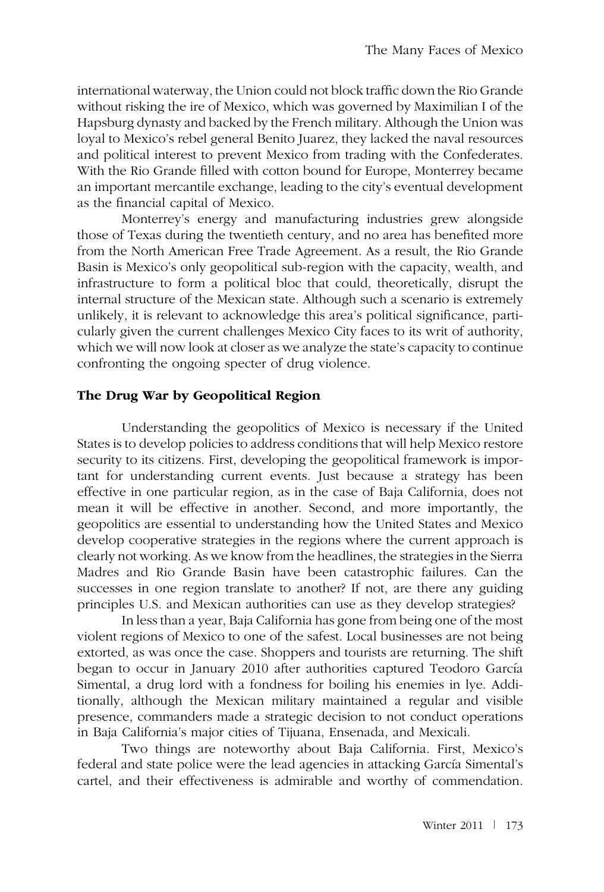international waterway, the Union could not block traffic down the Rio Grande without risking the ire of Mexico, which was governed by Maximilian I of the Hapsburg dynasty and backed by the French military. Although the Union was loyal to Mexico's rebel general Benito Juarez, they lacked the naval resources and political interest to prevent Mexico from trading with the Confederates. With the Rio Grande filled with cotton bound for Europe, Monterrey became an important mercantile exchange, leading to the city's eventual development as the financial capital of Mexico.

Monterrey's energy and manufacturing industries grew alongside those of Texas during the twentieth century, and no area has benefited more from the North American Free Trade Agreement. As a result, the Rio Grande Basin is Mexico's only geopolitical sub-region with the capacity, wealth, and infrastructure to form a political bloc that could, theoretically, disrupt the internal structure of the Mexican state. Although such a scenario is extremely unlikely, it is relevant to acknowledge this area's political significance, particularly given the current challenges Mexico City faces to its writ of authority, which we will now look at closer as we analyze the state's capacity to continue confronting the ongoing specter of drug violence.

# The Drug War by Geopolitical Region

Understanding the geopolitics of Mexico is necessary if the United States is to develop policies to address conditions that will help Mexico restore security to its citizens. First, developing the geopolitical framework is important for understanding current events. Just because a strategy has been effective in one particular region, as in the case of Baja California, does not mean it will be effective in another. Second, and more importantly, the geopolitics are essential to understanding how the United States and Mexico develop cooperative strategies in the regions where the current approach is clearly not working. As we know from the headlines, the strategies in the Sierra Madres and Rio Grande Basin have been catastrophic failures. Can the successes in one region translate to another? If not, are there any guiding principles U.S. and Mexican authorities can use as they develop strategies?

In less than a year, Baja California has gone from being one of the most violent regions of Mexico to one of the safest. Local businesses are not being extorted, as was once the case. Shoppers and tourists are returning. The shift began to occur in January 2010 after authorities captured Teodoro García Simental, a drug lord with a fondness for boiling his enemies in lye. Additionally, although the Mexican military maintained a regular and visible presence, commanders made a strategic decision to not conduct operations in Baja California's major cities of Tijuana, Ensenada, and Mexicali.

Two things are noteworthy about Baja California. First, Mexico's federal and state police were the lead agencies in attacking García Simental's cartel, and their effectiveness is admirable and worthy of commendation.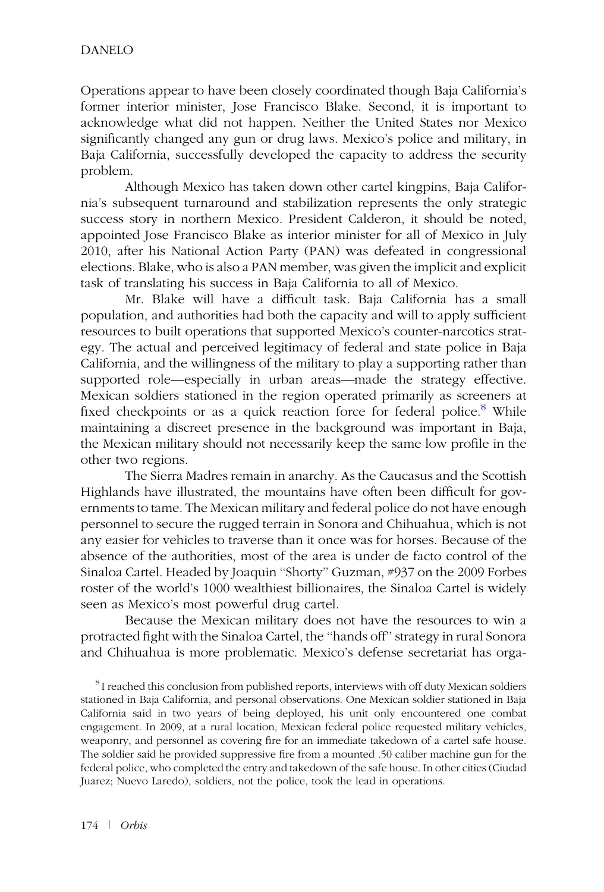Operations appear to have been closely coordinated though Baja California's former interior minister, Jose Francisco Blake. Second, it is important to acknowledge what did not happen. Neither the United States nor Mexico significantly changed any gun or drug laws. Mexico's police and military, in Baja California, successfully developed the capacity to address the security problem.

Although Mexico has taken down other cartel kingpins, Baja California's subsequent turnaround and stabilization represents the only strategic success story in northern Mexico. President Calderon, it should be noted, appointed Jose Francisco Blake as interior minister for all of Mexico in July 2010, after his National Action Party (PAN) was defeated in congressional elections. Blake, who is also a PAN member, was given the implicit and explicit task of translating his success in Baja California to all of Mexico.

Mr. Blake will have a difficult task. Baja California has a small population, and authorities had both the capacity and will to apply sufficient resources to built operations that supported Mexico's counter-narcotics strategy. The actual and perceived legitimacy of federal and state police in Baja California, and the willingness of the military to play a supporting rather than supported role—especially in urban areas—made the strategy effective. Mexican soldiers stationed in the region operated primarily as screeners at fixed checkpoints or as a quick reaction force for federal police.<sup>8</sup> While maintaining a discreet presence in the background was important in Baja, the Mexican military should not necessarily keep the same low profile in the other two regions.

The Sierra Madres remain in anarchy. As the Caucasus and the Scottish Highlands have illustrated, the mountains have often been difficult for governments to tame. The Mexican military and federal police do not have enough personnel to secure the rugged terrain in Sonora and Chihuahua, which is not any easier for vehicles to traverse than it once was for horses. Because of the absence of the authorities, most of the area is under de facto control of the Sinaloa Cartel. Headed by Joaquin ''Shorty'' Guzman, #937 on the 2009 Forbes roster of the world's 1000 wealthiest billionaires, the Sinaloa Cartel is widely seen as Mexico's most powerful drug cartel.

Because the Mexican military does not have the resources to win a protracted fight with the Sinaloa Cartel, the ''hands off'' strategy in rural Sonora and Chihuahua is more problematic. Mexico's defense secretariat has orga-

<sup>8</sup> I reached this conclusion from published reports, interviews with off duty Mexican soldiers stationed in Baja California, and personal observations. One Mexican soldier stationed in Baja California said in two years of being deployed, his unit only encountered one combat engagement. In 2009, at a rural location, Mexican federal police requested military vehicles, weaponry, and personnel as covering fire for an immediate takedown of a cartel safe house. The soldier said he provided suppressive fire from a mounted .50 caliber machine gun for the federal police, who completed the entry and takedown of the safe house. In other cities (Ciudad Juarez; Nuevo Laredo), soldiers, not the police, took the lead in operations.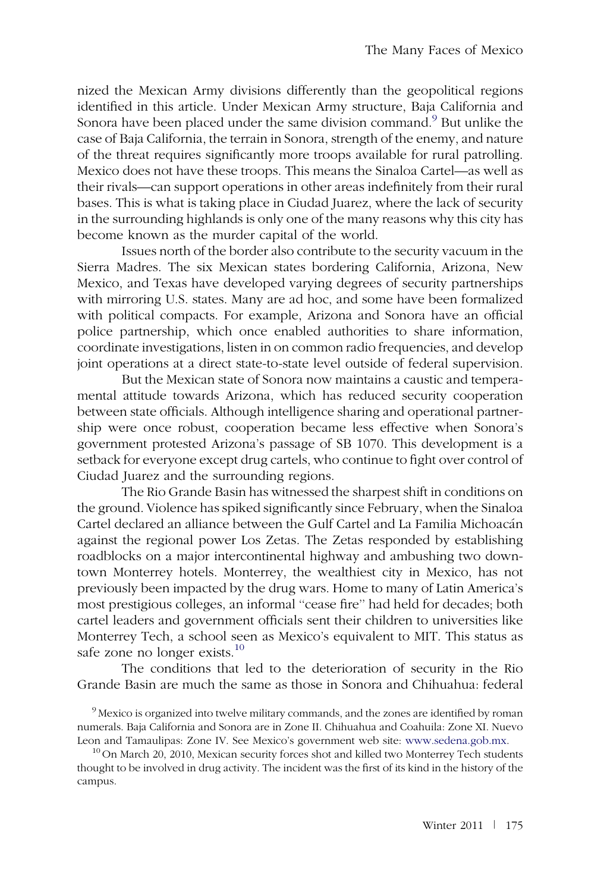nized the Mexican Army divisions differently than the geopolitical regions identified in this article. Under Mexican Army structure, Baja California and Sonora have been placed under the same division command.<sup>9</sup> But unlike the case of Baja California, the terrain in Sonora, strength of the enemy, and nature of the threat requires significantly more troops available for rural patrolling. Mexico does not have these troops. This means the Sinaloa Cartel—as well as their rivals—can support operations in other areas indefinitely from their rural bases. This is what is taking place in Ciudad Juarez, where the lack of security in the surrounding highlands is only one of the many reasons why this city has become known as the murder capital of the world.

Issues north of the border also contribute to the security vacuum in the Sierra Madres. The six Mexican states bordering California, Arizona, New Mexico, and Texas have developed varying degrees of security partnerships with mirroring U.S. states. Many are ad hoc, and some have been formalized with political compacts. For example, Arizona and Sonora have an official police partnership, which once enabled authorities to share information, coordinate investigations, listen in on common radio frequencies, and develop joint operations at a direct state-to-state level outside of federal supervision.

But the Mexican state of Sonora now maintains a caustic and temperamental attitude towards Arizona, which has reduced security cooperation between state officials. Although intelligence sharing and operational partnership were once robust, cooperation became less effective when Sonora's government protested Arizona's passage of SB 1070. This development is a setback for everyone except drug cartels, who continue to fight over control of Ciudad Juarez and the surrounding regions.

The Rio Grande Basin has witnessed the sharpest shift in conditions on the ground. Violence has spiked significantly since February, when the Sinaloa Cartel declared an alliance between the Gulf Cartel and La Familia Michoacán against the regional power Los Zetas. The Zetas responded by establishing roadblocks on a major intercontinental highway and ambushing two downtown Monterrey hotels. Monterrey, the wealthiest city in Mexico, has not previously been impacted by the drug wars. Home to many of Latin America's most prestigious colleges, an informal ''cease fire'' had held for decades; both cartel leaders and government officials sent their children to universities like Monterrey Tech, a school seen as Mexico's equivalent to MIT. This status as safe zone no longer exists. $10$ 

The conditions that led to the deterioration of security in the Rio Grande Basin are much the same as those in Sonora and Chihuahua: federal

<sup>9</sup> Mexico is organized into twelve military commands, and the zones are identified by roman numerals. Baja California and Sonora are in Zone II. Chihuahua and Coahuila: Zone XI. Nuevo Leon and Tamaulipas: Zone IV. See Mexico's government web site: [www.sedena.gob.mx.](http://www.cfr.org/) <sup>10</sup> On March 20, 2010, Mexican security forces shot and killed two Monterrey Tech students

thought to be involved in drug activity. The incident was the first of its kind in the history of the campus.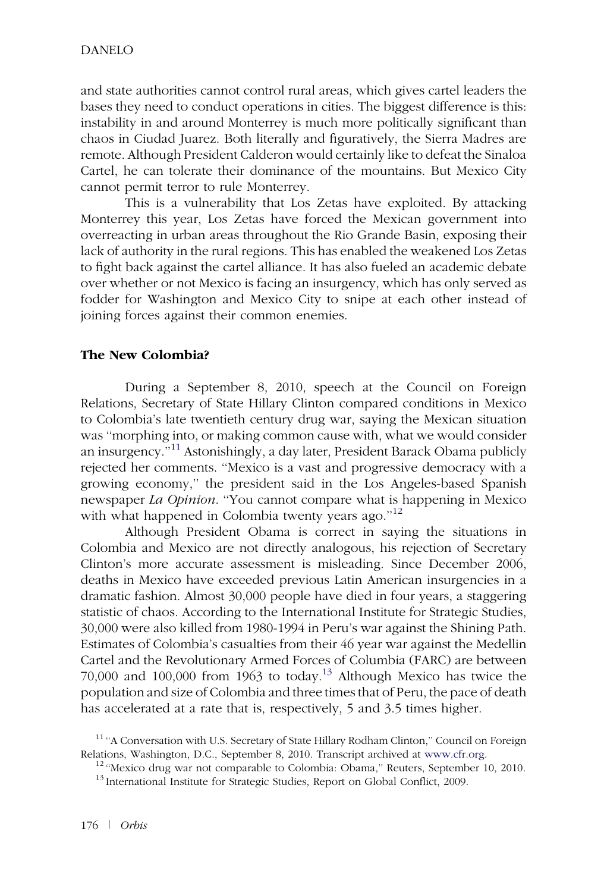and state authorities cannot control rural areas, which gives cartel leaders the bases they need to conduct operations in cities. The biggest difference is this: instability in and around Monterrey is much more politically significant than chaos in Ciudad Juarez. Both literally and figuratively, the Sierra Madres are remote. Although President Calderon would certainly like to defeat the Sinaloa Cartel, he can tolerate their dominance of the mountains. But Mexico City cannot permit terror to rule Monterrey.

This is a vulnerability that Los Zetas have exploited. By attacking Monterrey this year, Los Zetas have forced the Mexican government into overreacting in urban areas throughout the Rio Grande Basin, exposing their lack of authority in the rural regions. This has enabled the weakened Los Zetas to fight back against the cartel alliance. It has also fueled an academic debate over whether or not Mexico is facing an insurgency, which has only served as fodder for Washington and Mexico City to snipe at each other instead of joining forces against their common enemies.

## The New Colombia?

During a September 8, 2010, speech at the Council on Foreign Relations, Secretary of State Hillary Clinton compared conditions in Mexico to Colombia's late twentieth century drug war, saying the Mexican situation was ''morphing into, or making common cause with, what we would consider an insurgency.''<sup>11</sup> Astonishingly, a day later, President Barack Obama publicly rejected her comments. ''Mexico is a vast and progressive democracy with a growing economy,'' the president said in the Los Angeles-based Spanish newspaper La Opinion. ''You cannot compare what is happening in Mexico with what happened in Colombia twenty years ago."<sup>12</sup>

Although President Obama is correct in saying the situations in Colombia and Mexico are not directly analogous, his rejection of Secretary Clinton's more accurate assessment is misleading. Since December 2006, deaths in Mexico have exceeded previous Latin American insurgencies in a dramatic fashion. Almost 30,000 people have died in four years, a staggering statistic of chaos. According to the International Institute for Strategic Studies, 30,000 were also killed from 1980-1994 in Peru's war against the Shining Path. Estimates of Colombia's casualties from their 46 year war against the Medellin Cartel and the Revolutionary Armed Forces of Columbia (FARC) are between 70,000 and 100,000 from 1963 to today.<sup>13</sup> Although Mexico has twice the population and size of Colombia and three times that of Peru, the pace of death has accelerated at a rate that is, respectively, 5 and 3.5 times higher.

<sup>&</sup>lt;sup>11</sup> "A Conversation with U.S. Secretary of State Hillary Rodham Clinton," Council on Foreign

Relations, Washington, D.C., September 8, 2010. Transcript archived at [www.cfr.org](http://www.cfr.org/).<br><sup>12</sup> "Mexico drug war not comparable to Colombia: Obama," Reuters, September 10, 2010.<br><sup>13</sup> International Institute for Strategic Studies,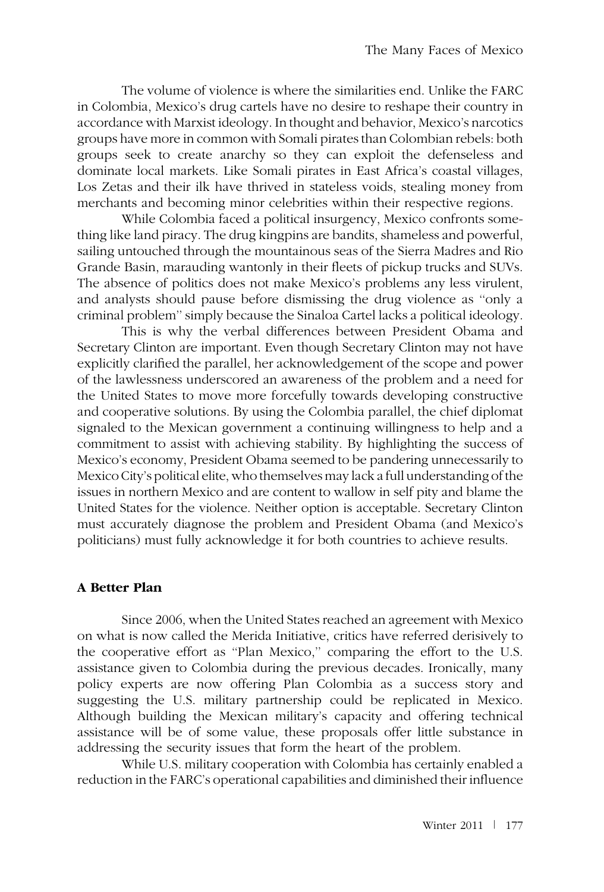The volume of violence is where the similarities end. Unlike the FARC in Colombia, Mexico's drug cartels have no desire to reshape their country in accordance with Marxist ideology. In thought and behavior, Mexico's narcotics groups have more in common with Somali pirates than Colombian rebels: both groups seek to create anarchy so they can exploit the defenseless and dominate local markets. Like Somali pirates in East Africa's coastal villages, Los Zetas and their ilk have thrived in stateless voids, stealing money from merchants and becoming minor celebrities within their respective regions.

While Colombia faced a political insurgency, Mexico confronts something like land piracy. The drug kingpins are bandits, shameless and powerful, sailing untouched through the mountainous seas of the Sierra Madres and Rio Grande Basin, marauding wantonly in their fleets of pickup trucks and SUVs. The absence of politics does not make Mexico's problems any less virulent, and analysts should pause before dismissing the drug violence as ''only a criminal problem'' simply because the Sinaloa Cartel lacks a political ideology.

This is why the verbal differences between President Obama and Secretary Clinton are important. Even though Secretary Clinton may not have explicitly clarified the parallel, her acknowledgement of the scope and power of the lawlessness underscored an awareness of the problem and a need for the United States to move more forcefully towards developing constructive and cooperative solutions. By using the Colombia parallel, the chief diplomat signaled to the Mexican government a continuing willingness to help and a commitment to assist with achieving stability. By highlighting the success of Mexico's economy, President Obama seemed to be pandering unnecessarily to Mexico City's political elite, who themselves may lack a full understanding of the issues in northern Mexico and are content to wallow in self pity and blame the United States for the violence. Neither option is acceptable. Secretary Clinton must accurately diagnose the problem and President Obama (and Mexico's politicians) must fully acknowledge it for both countries to achieve results.

## A Better Plan

Since 2006, when the United States reached an agreement with Mexico on what is now called the Merida Initiative, critics have referred derisively to the cooperative effort as ''Plan Mexico,'' comparing the effort to the U.S. assistance given to Colombia during the previous decades. Ironically, many policy experts are now offering Plan Colombia as a success story and suggesting the U.S. military partnership could be replicated in Mexico. Although building the Mexican military's capacity and offering technical assistance will be of some value, these proposals offer little substance in addressing the security issues that form the heart of the problem.

While U.S. military cooperation with Colombia has certainly enabled a reduction in the FARC's operational capabilities and diminished their influence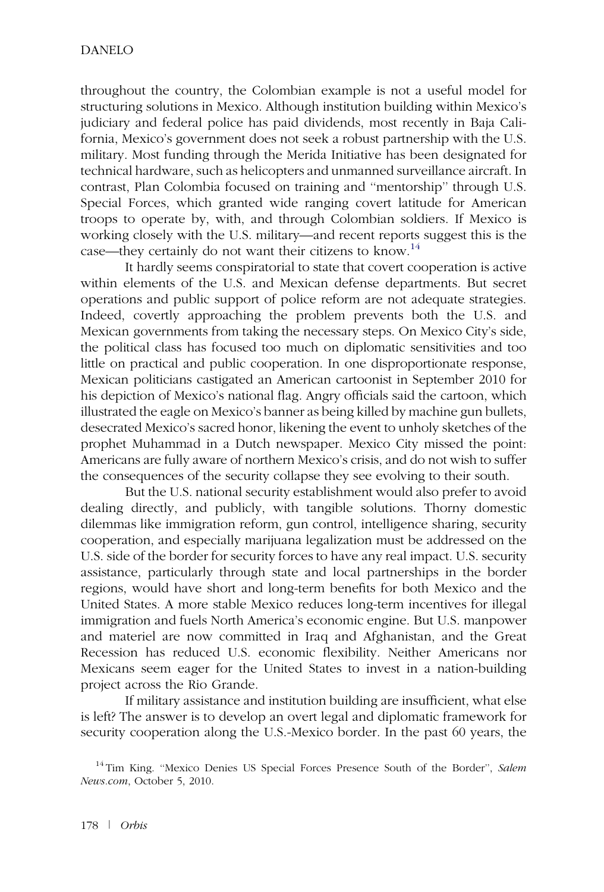throughout the country, the Colombian example is not a useful model for structuring solutions in Mexico. Although institution building within Mexico's judiciary and federal police has paid dividends, most recently in Baja California, Mexico's government does not seek a robust partnership with the U.S. military. Most funding through the Merida Initiative has been designated for technical hardware, such as helicopters and unmanned surveillance aircraft. In contrast, Plan Colombia focused on training and ''mentorship'' through U.S. Special Forces, which granted wide ranging covert latitude for American troops to operate by, with, and through Colombian soldiers. If Mexico is working closely with the U.S. military—and recent reports suggest this is the case—they certainly do not want their citizens to know.<sup>14</sup>

It hardly seems conspiratorial to state that covert cooperation is active within elements of the U.S. and Mexican defense departments. But secret operations and public support of police reform are not adequate strategies. Indeed, covertly approaching the problem prevents both the U.S. and Mexican governments from taking the necessary steps. On Mexico City's side, the political class has focused too much on diplomatic sensitivities and too little on practical and public cooperation. In one disproportionate response, Mexican politicians castigated an American cartoonist in September 2010 for his depiction of Mexico's national flag. Angry officials said the cartoon, which illustrated the eagle on Mexico's banner as being killed by machine gun bullets, desecrated Mexico's sacred honor, likening the event to unholy sketches of the prophet Muhammad in a Dutch newspaper. Mexico City missed the point: Americans are fully aware of northern Mexico's crisis, and do not wish to suffer the consequences of the security collapse they see evolving to their south.

But the U.S. national security establishment would also prefer to avoid dealing directly, and publicly, with tangible solutions. Thorny domestic dilemmas like immigration reform, gun control, intelligence sharing, security cooperation, and especially marijuana legalization must be addressed on the U.S. side of the border for security forces to have any real impact. U.S. security assistance, particularly through state and local partnerships in the border regions, would have short and long-term benefits for both Mexico and the United States. A more stable Mexico reduces long-term incentives for illegal immigration and fuels North America's economic engine. But U.S. manpower and materiel are now committed in Iraq and Afghanistan, and the Great Recession has reduced U.S. economic flexibility. Neither Americans nor Mexicans seem eager for the United States to invest in a nation-building project across the Rio Grande.

If military assistance and institution building are insufficient, what else is left? The answer is to develop an overt legal and diplomatic framework for security cooperation along the U.S.-Mexico border. In the past 60 years, the

 $14$  Tim King. "Mexico Denies US Special Forces Presence South of the Border", Salem News.com, October 5, 2010.